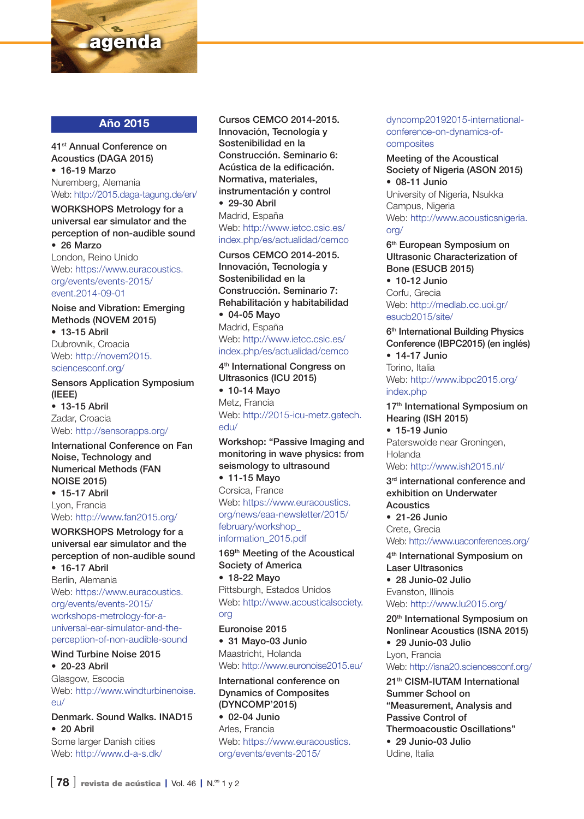

# Año 2015

41st Annual Conference on Acoustics (DAGA 2015) • 16-19 Marzo Nuremberg, Alemania Web: http://2015.daga-tagung.de/en/

WORKSHOPS Metrology for a universal ear simulator and the perception of non-audible sound • 26 Marzo

London, Reino Unido Web: https://www.euracoustics. org/events/events-2015/ event.2014-09-01

Noise and Vibration: Emerging Methods (NOVEM 2015)

• 13-15 Abril Dubrovnik, Croacia Web: http://novem2015. sciencesconf.org/

Sensors Application Symposium (IEEE) • 13-15 Abril Zadar, Croacia

Web: http://sensorapps.org/

International Conference on Fan Noise, Technology and Numerical Methods (FAN NOISE 2015) • 15-17 Abril Lyon, Francia

Web: http://www.fan2015.org/

## WORKSHOPS Metrology for a universal ear simulator and the perception of non-audible sound

• 16-17 Abril Berlín, Alemania Web: https://www.euracoustics. org/events/events-2015/ workshops-metrology-for-auniversal-ear-simulator-and-theperception-of-non-audible-sound

# Wind Turbine Noise 2015

• 20-23 Abril Glasgow, Escocia Web: http://www.windturbinenoise.  $\approx$ 

## Denmark. Sound Walks. INAD15 • 20 Abril

Some larger Danish cities Web: http://www.d-a-s.dk/

#### Cursos CEMCO 2014-2015. Innovación, Tecnología y Sostenibilidad en la Construcción. Seminario 6: Acústica de la edificación. Normativa, materiales, instrumentación y control

• 29-30 Abril Madrid, España Web: http://www.ietcc.csic.es/ index.php/es/actualidad/cemco

Cursos CEMCO 2014-2015. Innovación, Tecnología y Sostenibilidad en la Construcción. Seminario 7: Rehabilitación y habitabilidad

• 04-05 Mayo Madrid, España Web: http://www.ietcc.csic.es/ index.php/es/actualidad/cemco

4<sup>th</sup> International Congress on Ultrasonics (ICU 2015)

• 10-14 Mayo Metz, Francia Web: http://2015-icu-metz.gatech. edu/

# Workshop: "Passive Imaging and monitoring in wave physics: from seismology to ultrasound

• 11-15 Mayo Corsica, France Web: https://www.euracoustics. org/news/eaa-newsletter/2015/ february/workshop\_ information\_2015.pdf

169<sup>th</sup> Meeting of the Acoustical Society of America • 18-22 Mayo

Pittsburgh, Estados Unidos Web: http://www.acousticalsociety. org

Euronoise 2015 • 31 Mayo-03 Junio Maastricht, Holanda Web: http://www.euronoise2015.eu/

International conference on Dynamics of Composites (DYNCOMP'2015)

• 02-04 Junio Arles, Francia Web: https://www.euracoustics. org/events/events-2015/

dyncomp20192015-internationalconference-on-dynamics-ofcomposites

Meeting of the Acoustical Society of Nigeria (ASON 2015)

• 08-11 Junio University of Nigeria, Nsukka Campus, Nigeria Web: http://www.acousticsnigeria. org/

6<sup>th</sup> European Symposium on Ultrasonic Characterization of Bone (ESUCB 2015)

• 10-12 Junio Corfu, Grecia Web: http://medlab.cc.uoi.gr/ esucb2015/site/

6<sup>th</sup> International Building Physics Conference (IBPC2015) (en inglés)

• 14-17 Junio Torino, Italia Web: http://www.ibpc2015.org/ index.php

17<sup>th</sup> International Symposium on Hearing (ISH 2015) • 15-19 Junio

Paterswolde near Groningen, Holanda

Web: http://www.ish2015.nl/

3<sup>rd</sup> international conference and exhibition on Underwater **Acoustics** • 21-26 Junio

Crete, Grecia Web: http://www.uaconferences.org/

4<sup>th</sup> International Symposium on Laser Ultrasonics • 28 Junio-02 Julio Evanston, Illinois

Web: http://www.lu2015.org/

20<sup>th</sup> International Symposium on Nonlinear Acoustics (ISNA 2015) • 29 Junio-03 Julio Lyon, Francia

Web: http://isna20.sciencesconf.org/

21<sup>th</sup> CISM-IUTAM International Summer School on "Measurement, Analysis and Passive Control of Thermoacoustic Oscillations" • 29 Junio-03 Julio Udine, Italia